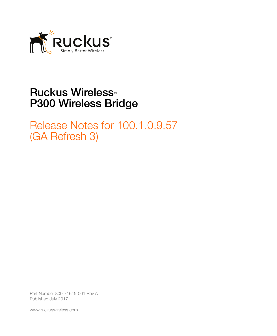

## **Ruckus Wireless<sup>™</sup>** P300 Wireless Bridge

Release Notes for 100.1.0.9.57 (GA Refresh 3)

Part Number 800-71645-001 Rev A Published July 2017

www.ruckuswireless.com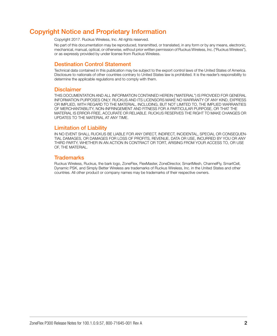### <span id="page-1-0"></span>Copyright Notice and Proprietary Information

Copyright 2017. Ruckus Wireless, Inc. All rights reserved.

No part of this documentation may be reproduced, transmitted, or translated, in any form or by any means, electronic, mechanical, manual, optical, or otherwise, without prior written permission of Ruckus Wireless, Inc. ("Ruckus Wireless"), or as expressly provided by under license from Ruckus Wireless.

#### Destination Control Statement

Technical data contained in this publication may be subject to the export control laws of the United States of America. Disclosure to nationals of other countries contrary to United States law is prohibited. It is the reader's responsibility to determine the applicable regulations and to comply with them.

#### **Disclaimer**

THIS DOCUMENTATION AND ALL INFORMATION CONTAINED HEREIN ("MATERIAL") IS PROVIDED FOR GENERAL INFORMATION PURPOSES ONLY. RUCKUS AND ITS LICENSORS MAKE NO WARRANTY OF ANY KIND, EXPRESS OR IMPLIED, WITH REGARD TO THE MATERIAL, INCLUDING, BUT NOT LIMITED TO, THE IMPLIED WARRANTIES OF MERCHANTABILITY, NON-INFRINGEMENT AND FITNESS FOR A PARTICULAR PURPOSE, OR THAT THE MATERIAL IS ERROR-FREE, ACCURATE OR RELIABLE. RUCKUS RESERVES THE RIGHT TO MAKE CHANGES OR UPDATES TO THE MATERIAL AT ANY TIME.

#### Limitation of Liability

IN NO EVENT SHALL RUCKUS BE LIABLE FOR ANY DIRECT, INDIRECT, INCIDENTAL, SPECIAL OR CONSEQUEN-TIAL DAMAGES, OR DAMAGES FOR LOSS OF PROFITS, REVENUE, DATA OR USE, INCURRED BY YOU OR ANY THIRD PARTY, WHETHER IN AN ACTION IN CONTRACT OR TORT, ARISING FROM YOUR ACCESS TO, OR USE OF, THE MATERIAL.

#### **Trademarks**

Ruckus Wireless, Ruckus, the bark logo, ZoneFlex, FlexMaster, ZoneDirector, SmartMesh, ChannelFly, SmartCell, Dynamic PSK, and Simply Better Wireless are trademarks of Ruckus Wireless, Inc. in the United States and other countries. All other product or company names may be trademarks of their respective owners.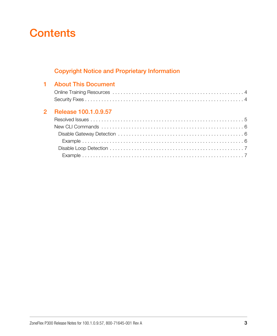## **Contents**

### [Copyright Notice and Proprietary Information](#page-1-0)

|  | 1 About This Document  |
|--|------------------------|
|  |                        |
|  |                        |
|  | 2 Release 100.1.0.9.57 |
|  |                        |
|  |                        |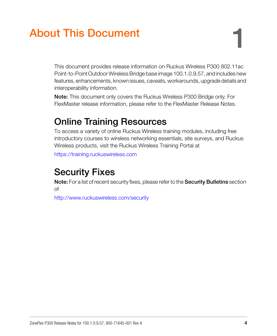# <span id="page-3-0"></span>**About This Document**

This document provides release information on Ruckus Wireless P300 802.11ac Point-to-Point Outdoor Wireless Bridge base image 100.1.0.9.57, and includes new features, enhancements, known issues, caveats, workarounds, upgrade details and interoperability information.

Note: This document only covers the Ruckus Wireless P300 Bridge only. For FlexMaster release information, please refer to the FlexMaster Release Notes.

## <span id="page-3-1"></span>Online Training Resources

To access a variety of online Ruckus Wireless training modules, including free introductory courses to wireless networking essentials, site surveys, and Ruckus Wireless products, visit the Ruckus Wireless Training Portal at

https://training.ruckuswireless.com

## <span id="page-3-2"></span>Security Fixes

Note: For a list of recent security fixes, please refer to the Security Bulletins section of

http://www.ruckuswireless.com/security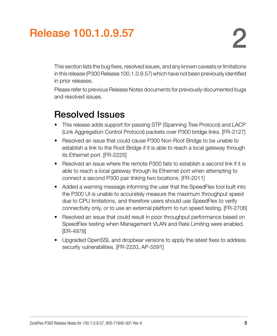# <span id="page-4-0"></span>2 Release 100.1.0.9.57

This section lists the bug fixes, resolved issues, and any known caveats or limitations in this release (P300 Release 100.1.0.9.57) which have not been previously identified in prior releases.

Please refer to previous Release Notes documents for previously documented bugs and resolved issues.

## <span id="page-4-1"></span>Resolved Issues

- This release adds support for passing STP (Spanning Tree Protocol) and LACP (Link Aggregation Control Protocol) packets over P300 bridge links. [FR-2127]
- Resolved an issue that could cause P300 Non-Root Bridge to be unable to establish a link to the Root Bridge if it is able to reach a local gateway through its Ethernet port. [FR-2225]
- Resolved an issue where the remote P300 fails to establish a second link if it is able to reach a local gateway through its Ethernet port when attempting to connect a second P300 pair linking two locations. [FR-2011]
- Added a warning message informing the user that the SpeedFlex tool built into the P300 UI is unable to accurately measure the maximum throughput speed due to CPU limitations, and therefore users should use SpeedFlex to verify connectivity only, or to use an external platform to run speed testing. [FR-2706]
- Resolved an issue that could result in poor throughput performance based on SpeedFlex testing when Management VLAN and Rate Limiting were enabled. [ER-4978]
- Upgraded OpenSSL and dropbear versions to apply the latest fixes to address security vulnerabilities. [FR-2220, AP-5591]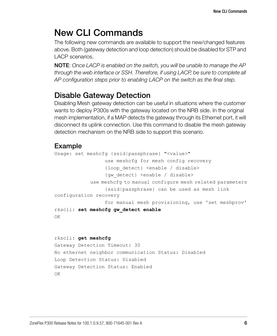## <span id="page-5-0"></span>New CLI Commands

The following new commands are available to support the new/changed features above. Both (gateway detection and loop detection) should be disabled for STP and LACP scenarios.

NOTE: Once LACP is enabled on the switch, you will be unable to manage the AP through the web interface or SSH. Therefore, if using LACP, be sure to complete all AP configuration steps prior to enabling LACP on the switch as the final step.

### <span id="page-5-1"></span>Disable Gateway Detection

Disabling Mesh gateway detection can be useful in situations where the customer wants to deploy P300s with the gateway located on the NRB side. In the original mesh implementation, if a MAP detects the gateway through its Ethernet port, it will disconnect its uplink connection. Use this command to disable the mesh gateway detection mechanism on the NRB side to support this scenario.

### <span id="page-5-2"></span>Example

```
Usage: set meshcfg {ssid|passphrase} "<value>"
                  use meshcfg for mesh config recovery
                  {loop_detect} <enable / disable>
                  {gw_detect} <enable / disable>
             use meshcfg to manual configure mesh related parameters
                  {ssid|passphrase} can be used as mesh link 
configuration recovery
                  for manual mesh provisioning, use 'set meshprov'
rkscli: set meshcfg gw_detect enable
OK
```

```
rkscli: get meshcfg
Gateway Detection Timeout: 30
No ethernet neighbor communication Status: Disabled
Loop Detection Status: Disabled
Gateway Detection Status: Enabled
OK
```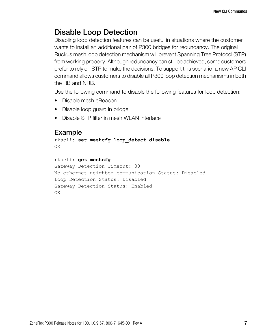### <span id="page-6-0"></span>Disable Loop Detection

Disabling loop detection features can be useful in situations where the customer wants to install an additional pair of P300 bridges for redundancy. The original Ruckus mesh loop detection mechanism will prevent Spanning Tree Protocol (STP) from working properly. Although redundancy can still be achieved, some customers prefer to rely on STP to make the decisions. To support this scenario, a new AP CLI command allows customers to disable all P300 loop detection mechanisms in both the RB and NRB.

Use the following command to disable the following features for loop detection:

- Disable mesh eBeacon
- Disable loop guard in bridge
- Disable STP filter in mesh WLAN interface

#### <span id="page-6-1"></span>Example

rkscli: **set meshcfg loop\_detect disable** OK

```
rkscli: get meshcfg
Gateway Detection Timeout: 30
No ethernet neighbor communication Status: Disabled
Loop Detection Status: Disabled
Gateway Detection Status: Enabled
OK
```